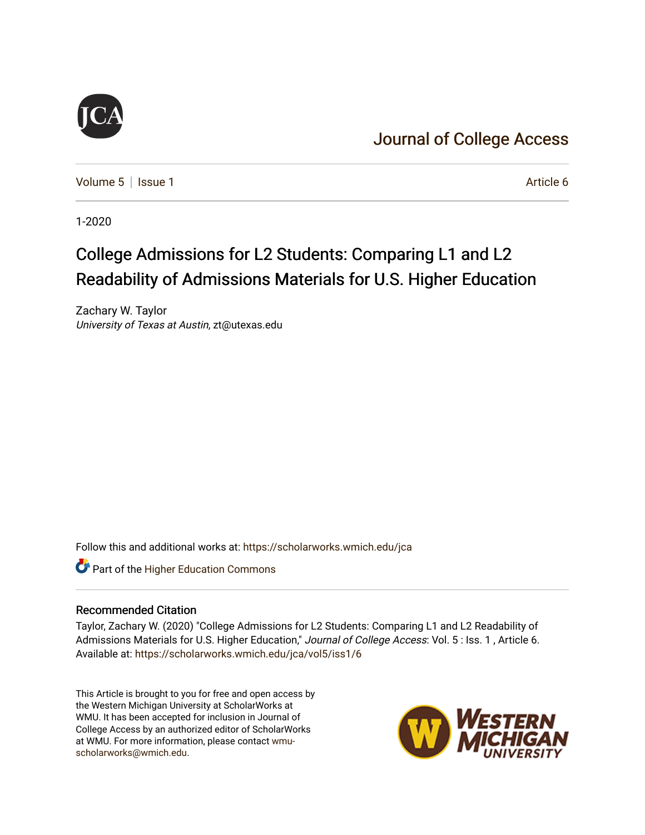## [Journal of College Access](https://scholarworks.wmich.edu/jca)

[Volume 5](https://scholarworks.wmich.edu/jca/vol5) | [Issue 1](https://scholarworks.wmich.edu/jca/vol5/iss1) Article 6

1-2020

## College Admissions for L2 Students: Comparing L1 and L2 Readability of Admissions Materials for U.S. Higher Education

Zachary W. Taylor University of Texas at Austin, zt@utexas.edu

Follow this and additional works at: [https://scholarworks.wmich.edu/jca](https://scholarworks.wmich.edu/jca?utm_source=scholarworks.wmich.edu%2Fjca%2Fvol5%2Fiss1%2F6&utm_medium=PDF&utm_campaign=PDFCoverPages)

**Part of the Higher Education Commons** 

#### Recommended Citation

Taylor, Zachary W. (2020) "College Admissions for L2 Students: Comparing L1 and L2 Readability of Admissions Materials for U.S. Higher Education," Journal of College Access: Vol. 5: Iss. 1, Article 6. Available at: [https://scholarworks.wmich.edu/jca/vol5/iss1/6](https://scholarworks.wmich.edu/jca/vol5/iss1/6?utm_source=scholarworks.wmich.edu%2Fjca%2Fvol5%2Fiss1%2F6&utm_medium=PDF&utm_campaign=PDFCoverPages) 

This Article is brought to you for free and open access by the Western Michigan University at ScholarWorks at WMU. It has been accepted for inclusion in Journal of College Access by an authorized editor of ScholarWorks at WMU. For more information, please contact [wmu](mailto:wmu-scholarworks@wmich.edu)[scholarworks@wmich.edu.](mailto:wmu-scholarworks@wmich.edu)

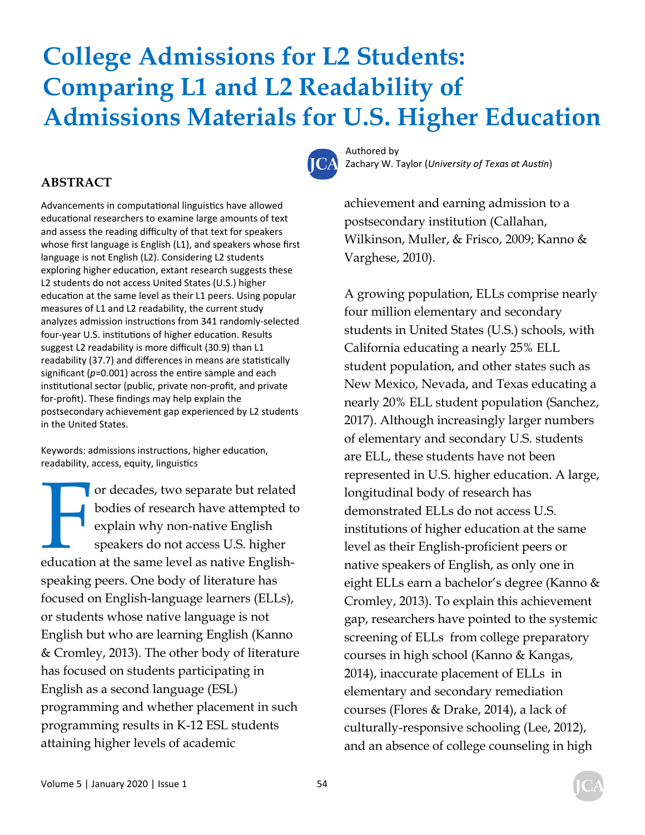# **College Admissions for L2 Students: Comparing L1 and L2 Readability of Admissions Materials for U.S. Higher Education**



Authored by Zachary W. Taylor (*University of Texas at Austin*)

achievement and earning admission to a postsecondary institution (Callahan, Wilkinson, Muller, & Frisco, 2009; Kanno & Varghese, 2010).

## A growing population, ELLs comprise nearly four million elementary and secondary students in United States (U.S.) schools, with California educating a nearly 25% ELL student population, and other states such as New Mexico, Nevada, and Texas educating a nearly 20% ELL student population (Sanchez, 2017). Although increasingly larger numbers of elementary and secondary U.S. students are ELL, these students have not been represented in U.S. higher education. A large, longitudinal body of research has demonstrated ELLs do not access U.S. institutions of higher education at the same level as their English-proficient peers or native speakers of English, as only one in eight ELLs earn a bachelor's degree (Kanno & Cromley, 2013). To explain this achievement gap, researchers have pointed to the systemic screening of ELLs from college preparatory courses in high school (Kanno & Kangas, 2014), inaccurate placement of ELLs in elementary and secondary remediation courses (Flores & Drake, 2014), a lack of culturally-responsive schooling (Lee, 2012), and an absence of college counseling in high

#### **ABSTRACT**

Advancements in computational linguistics have allowed educational researchers to examine large amounts of text and assess the reading difficulty of that text for speakers whose first language is English (L1), and speakers whose first language is not English (L2). Considering L2 students exploring higher education, extant research suggests these L2 students do not access United States (U.S.) higher education at the same level as their L1 peers. Using popular measures of L1 and L2 readability, the current study analyzes admission instructions from 341 randomly-selected four-year U.S. institutions of higher education. Results suggest L2 readability is more difficult (30.9) than L1 readability (37.7) and differences in means are statistically significant  $(p=0.001)$  across the entire sample and each institutional sector (public, private non-profit, and private for‐profit). These findings may help explain the postsecondary achievement gap experienced by L2 students in the United States.

Keywords: admissions instructions, higher education, readability, access, equity, linguistics

France are the same level as native English speakers do not access U.S. higher education at the same level as native Englishor decades, two separate but related bodies of research have attempted to explain why non-native English speakers do not access U.S. higher speaking peers. One body of literature has focused on English-language learners (ELLs), or students whose native language is not English but who are learning English (Kanno & Cromley, 2013). The other body of literature has focused on students participating in English as a second language (ESL) programming and whether placement in such programming results in K-12 ESL students attaining higher levels of academic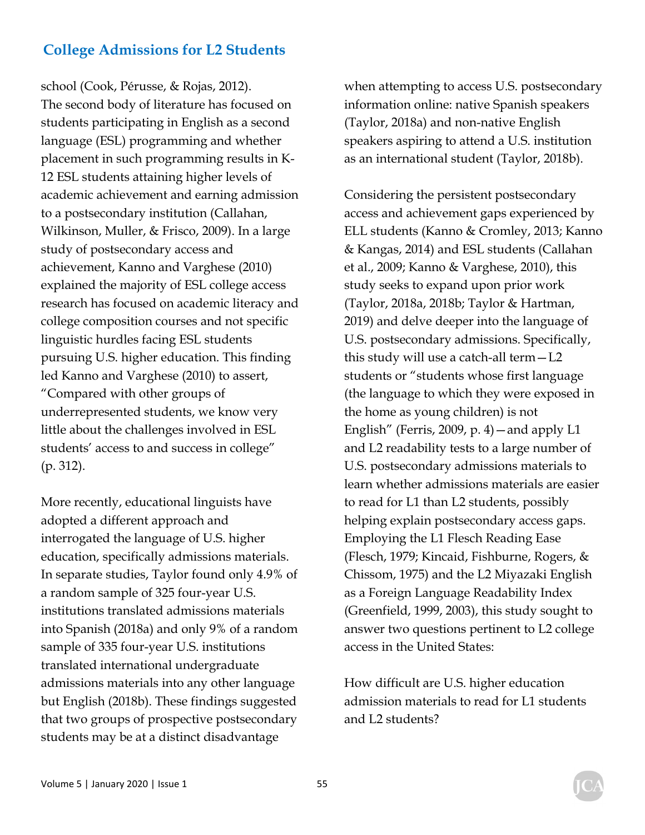school (Cook, Pérusse, & Rojas, 2012). The second body of literature has focused on students participating in English as a second language (ESL) programming and whether placement in such programming results in K-12 ESL students attaining higher levels of academic achievement and earning admission to a postsecondary institution (Callahan, Wilkinson, Muller, & Frisco, 2009). In a large study of postsecondary access and achievement, Kanno and Varghese (2010) explained the majority of ESL college access research has focused on academic literacy and college composition courses and not specific linguistic hurdles facing ESL students pursuing U.S. higher education. This finding led Kanno and Varghese (2010) to assert, "Compared with other groups of underrepresented students, we know very little about the challenges involved in ESL students' access to and success in college" (p. 312).

More recently, educational linguists have adopted a different approach and interrogated the language of U.S. higher education, specifically admissions materials. In separate studies, Taylor found only 4.9% of a random sample of 325 four-year U.S. institutions translated admissions materials into Spanish (2018a) and only 9% of a random sample of 335 four-year U.S. institutions translated international undergraduate admissions materials into any other language but English (2018b). These findings suggested that two groups of prospective postsecondary students may be at a distinct disadvantage

when attempting to access U.S. postsecondary information online: native Spanish speakers (Taylor, 2018a) and non-native English speakers aspiring to attend a U.S. institution as an international student (Taylor, 2018b).

Considering the persistent postsecondary access and achievement gaps experienced by ELL students (Kanno & Cromley, 2013; Kanno & Kangas, 2014) and ESL students (Callahan et al., 2009; Kanno & Varghese, 2010), this study seeks to expand upon prior work (Taylor, 2018a, 2018b; Taylor & Hartman, 2019) and delve deeper into the language of U.S. postsecondary admissions. Specifically, this study will use a catch-all term—L2 students or "students whose first language (the language to which they were exposed in the home as young children) is not English" (Ferris, 2009, p. 4)—and apply L1 and L2 readability tests to a large number of U.S. postsecondary admissions materials to learn whether admissions materials are easier to read for L1 than L2 students, possibly helping explain postsecondary access gaps. Employing the L1 Flesch Reading Ease (Flesch, 1979; Kincaid, Fishburne, Rogers, & Chissom, 1975) and the L2 Miyazaki English as a Foreign Language Readability Index (Greenfield, 1999, 2003), this study sought to answer two questions pertinent to L2 college access in the United States:

How difficult are U.S. higher education admission materials to read for L1 students and L2 students?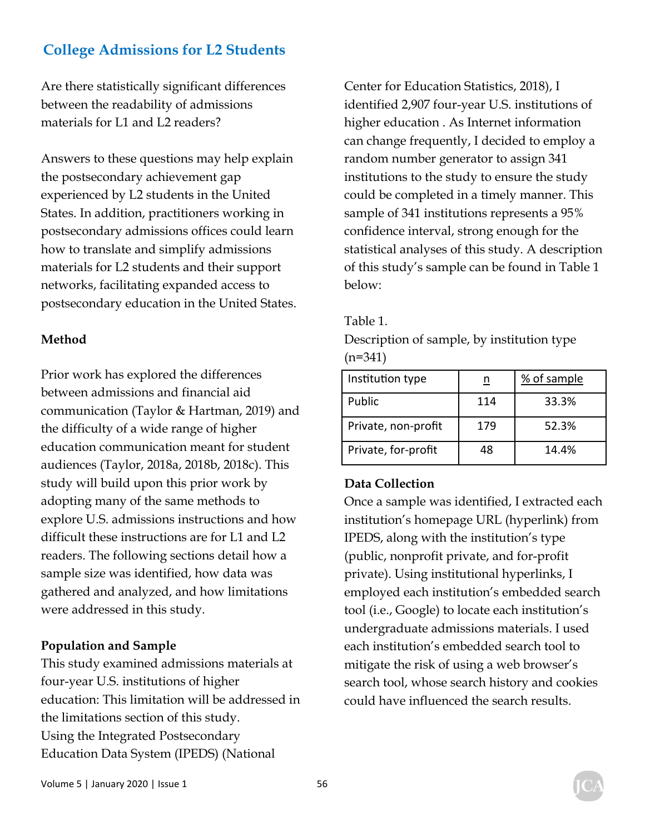Are there statistically significant differences between the readability of admissions materials for L1 and L2 readers?

Answers to these questions may help explain the postsecondary achievement gap experienced by L2 students in the United States. In addition, practitioners working in postsecondary admissions offices could learn how to translate and simplify admissions materials for L2 students and their support networks, facilitating expanded access to postsecondary education in the United States.

#### **Method**

Prior work has explored the differences between admissions and financial aid communication (Taylor & Hartman, 2019) and the difficulty of a wide range of higher education communication meant for student audiences (Taylor, 2018a, 2018b, 2018c). This study will build upon this prior work by adopting many of the same methods to explore U.S. admissions instructions and how difficult these instructions are for L1 and L2 readers. The following sections detail how a sample size was identified, how data was gathered and analyzed, and how limitations were addressed in this study.

#### **Population and Sample**

This study examined admissions materials at four-year U.S. institutions of higher education: This limitation will be addressed in the limitations section of this study. Using the Integrated Postsecondary Education Data System (IPEDS) (National

Center for Education Statistics, 2018), I identified 2,907 four-year U.S. institutions of higher education . As Internet information can change frequently, I decided to employ a random number generator to assign 341 institutions to the study to ensure the study could be completed in a timely manner. This sample of 341 institutions represents a 95% confidence interval, strong enough for the statistical analyses of this study. A description of this study's sample can be found in Table 1 below:

#### Table 1.

Description of sample, by institution type  $(n=341)$ 

| Institution type    |     | % of sample |  |  |
|---------------------|-----|-------------|--|--|
| Public              | 114 | 33.3%       |  |  |
| Private, non-profit | 179 | 52.3%       |  |  |
| Private, for-profit | 48  | 14.4%       |  |  |

#### **Data Collection**

Once a sample was identified, I extracted each institution's homepage URL (hyperlink) from IPEDS, along with the institution's type (public, nonprofit private, and for-profit private). Using institutional hyperlinks, I employed each institution's embedded search tool (i.e., Google) to locate each institution's undergraduate admissions materials. I used each institution's embedded search tool to mitigate the risk of using a web browser's search tool, whose search history and cookies could have influenced the search results.

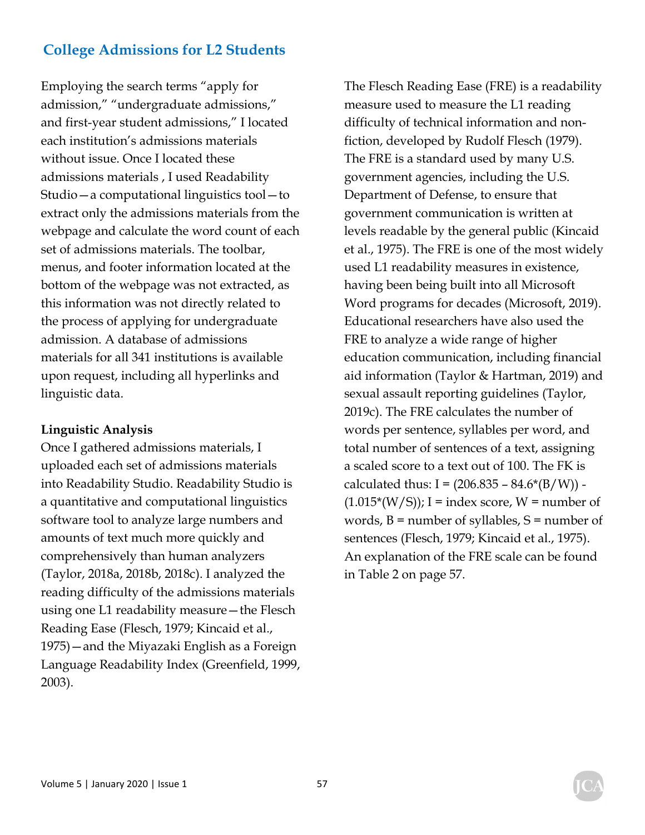Employing the search terms "apply for admission," "undergraduate admissions," and first-year student admissions," I located each institution's admissions materials without issue. Once I located these admissions materials , I used Readability Studio—a computational linguistics tool—to extract only the admissions materials from the webpage and calculate the word count of each set of admissions materials. The toolbar, menus, and footer information located at the bottom of the webpage was not extracted, as this information was not directly related to the process of applying for undergraduate admission. A database of admissions materials for all 341 institutions is available upon request, including all hyperlinks and linguistic data.

#### **Linguistic Analysis**

Once I gathered admissions materials, I uploaded each set of admissions materials into Readability Studio. Readability Studio is a quantitative and computational linguistics software tool to analyze large numbers and amounts of text much more quickly and comprehensively than human analyzers (Taylor, 2018a, 2018b, 2018c). I analyzed the reading difficulty of the admissions materials using one L1 readability measure—the Flesch Reading Ease (Flesch, 1979; Kincaid et al., 1975)—and the Miyazaki English as a Foreign Language Readability Index (Greenfield, 1999, 2003).

The Flesch Reading Ease (FRE) is a readability measure used to measure the L1 reading difficulty of technical information and nonfiction, developed by Rudolf Flesch (1979). The FRE is a standard used by many U.S. government agencies, including the U.S. Department of Defense, to ensure that government communication is written at levels readable by the general public (Kincaid et al., 1975). The FRE is one of the most widely used L1 readability measures in existence, having been being built into all Microsoft Word programs for decades (Microsoft, 2019). Educational researchers have also used the FRE to analyze a wide range of higher education communication, including financial aid information (Taylor & Hartman, 2019) and sexual assault reporting guidelines (Taylor, 2019c). The FRE calculates the number of words per sentence, syllables per word, and total number of sentences of a text, assigning a scaled score to a text out of 100. The FK is calculated thus:  $I = (206.835 - 84.6*(B/W))$  - $(1.015*(W/S))$ ; I = index score, W = number of words,  $B =$  number of syllables,  $S =$  number of sentences (Flesch, 1979; Kincaid et al., 1975). An explanation of the FRE scale can be found in Table 2 on page 57.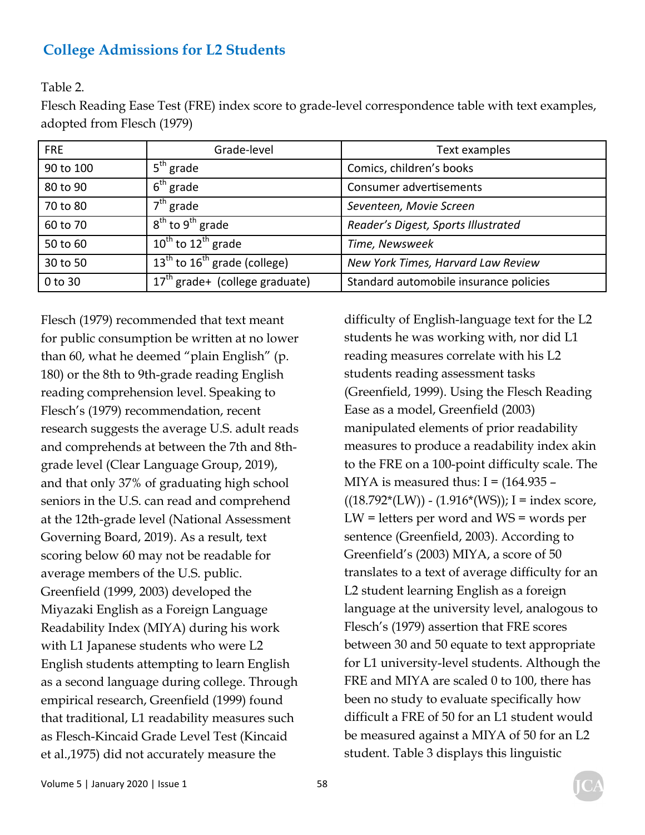Table 2.

Flesch Reading Ease Test (FRE) index score to grade-level correspondence table with text examples, adopted from Flesch (1979)

| <b>FRE</b> | Grade-level                                | Text examples                          |
|------------|--------------------------------------------|----------------------------------------|
| 90 to 100  | 5 <sup>th</sup> grade                      | Comics, children's books               |
| 80 to 90   | $6th$ grade                                | Consumer advertisements                |
| 70 to 80   | $7th$ grade                                | Seventeen, Movie Screen                |
| 60 to 70   | $8th$ to $9th$ grade                       | Reader's Digest, Sports Illustrated    |
| 50 to 60   | 10 <sup>th</sup> to 12 <sup>th</sup> grade | Time, Newsweek                         |
| 30 to 50   | $13th$ to $16th$ grade (college)           | New York Times, Harvard Law Review     |
| 0 to 30    | $17th$ grade+ (college graduate)           | Standard automobile insurance policies |

Flesch (1979) recommended that text meant for public consumption be written at no lower than 60, what he deemed "plain English" (p. 180) or the 8th to 9th-grade reading English reading comprehension level. Speaking to Flesch's (1979) recommendation, recent research suggests the average U.S. adult reads and comprehends at between the 7th and 8thgrade level (Clear Language Group, 2019), and that only 37% of graduating high school seniors in the U.S. can read and comprehend at the 12th-grade level (National Assessment Governing Board, 2019). As a result, text scoring below 60 may not be readable for average members of the U.S. public. Greenfield (1999, 2003) developed the Miyazaki English as a Foreign Language Readability Index (MIYA) during his work with L1 Japanese students who were L2 English students attempting to learn English as a second language during college. Through empirical research, Greenfield (1999) found that traditional, L1 readability measures such as Flesch-Kincaid Grade Level Test (Kincaid et al.,1975) did not accurately measure the

difficulty of English-language text for the L2 students he was working with, nor did L1 reading measures correlate with his L2 students reading assessment tasks (Greenfield, 1999). Using the Flesch Reading Ease as a model, Greenfield (2003) manipulated elements of prior readability measures to produce a readability index akin to the FRE on a 100-point difficulty scale. The MIYA is measured thus:  $I = (164.935 ((18.792*(LW)) - (1.916*(WS))$ ; I = index score, LW = letters per word and WS = words per sentence (Greenfield, 2003). According to Greenfield's (2003) MIYA, a score of 50 translates to a text of average difficulty for an L2 student learning English as a foreign language at the university level, analogous to Flesch's (1979) assertion that FRE scores between 30 and 50 equate to text appropriate for L1 university-level students. Although the FRE and MIYA are scaled 0 to 100, there has been no study to evaluate specifically how difficult a FRE of 50 for an L1 student would be measured against a MIYA of 50 for an L2 student. Table 3 displays this linguistic

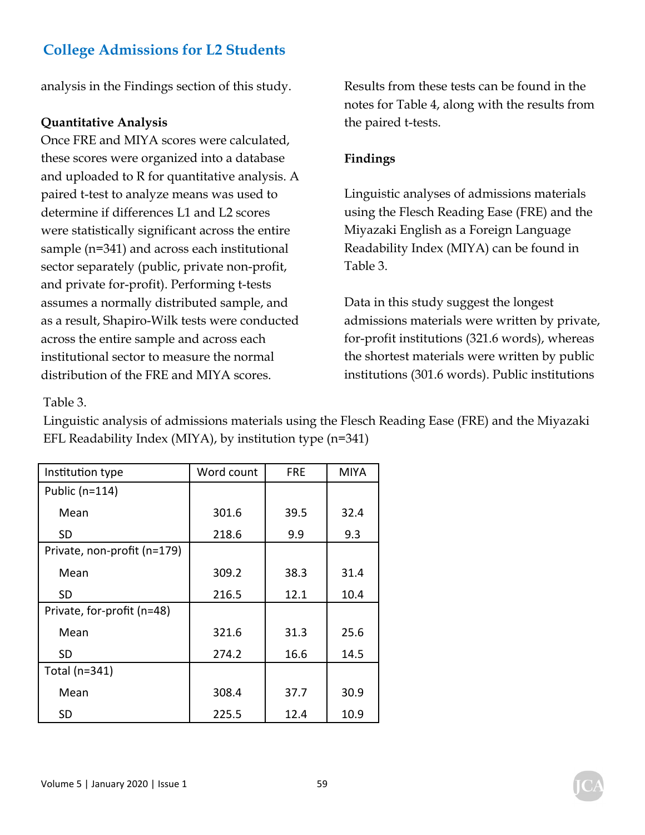analysis in the Findings section of this study.

#### **Quantitative Analysis**

Once FRE and MIYA scores were calculated, these scores were organized into a database and uploaded to R for quantitative analysis. A paired t-test to analyze means was used to determine if differences L1 and L2 scores were statistically significant across the entire sample (n=341) and across each institutional sector separately (public, private non-profit, and private for-profit). Performing t-tests assumes a normally distributed sample, and as a result, Shapiro-Wilk tests were conducted across the entire sample and across each institutional sector to measure the normal distribution of the FRE and MIYA scores.

Results from these tests can be found in the notes for Table 4, along with the results from the paired t-tests.

#### **Findings**

Linguistic analyses of admissions materials using the Flesch Reading Ease (FRE) and the Miyazaki English as a Foreign Language Readability Index (MIYA) can be found in Table 3.

Data in this study suggest the longest admissions materials were written by private, for-profit institutions (321.6 words), whereas the shortest materials were written by public institutions (301.6 words). Public institutions

#### Table 3.

Linguistic analysis of admissions materials using the Flesch Reading Ease (FRE) and the Miyazaki EFL Readability Index (MIYA), by institution type (n=341)

| Institution type            | Word count | <b>FRE</b> | <b>MIYA</b> |
|-----------------------------|------------|------------|-------------|
| Public (n=114)              |            |            |             |
| Mean                        | 301.6      | 39.5       | 32.4        |
| SD                          | 218.6      | 9.9        | 9.3         |
| Private, non-profit (n=179) |            |            |             |
| Mean                        | 309.2      | 38.3       | 31.4        |
| SD                          | 216.5      | 12.1       | 10.4        |
| Private, for-profit (n=48)  |            |            |             |
| Mean                        | 321.6      | 31.3       | 25.6        |
| SD                          | 274.2      | 16.6       | 14.5        |
| Total (n=341)               |            |            |             |
| Mean                        | 308.4      | 37.7       | 30.9        |
| SD                          | 225.5      | 12.4       | 10.9        |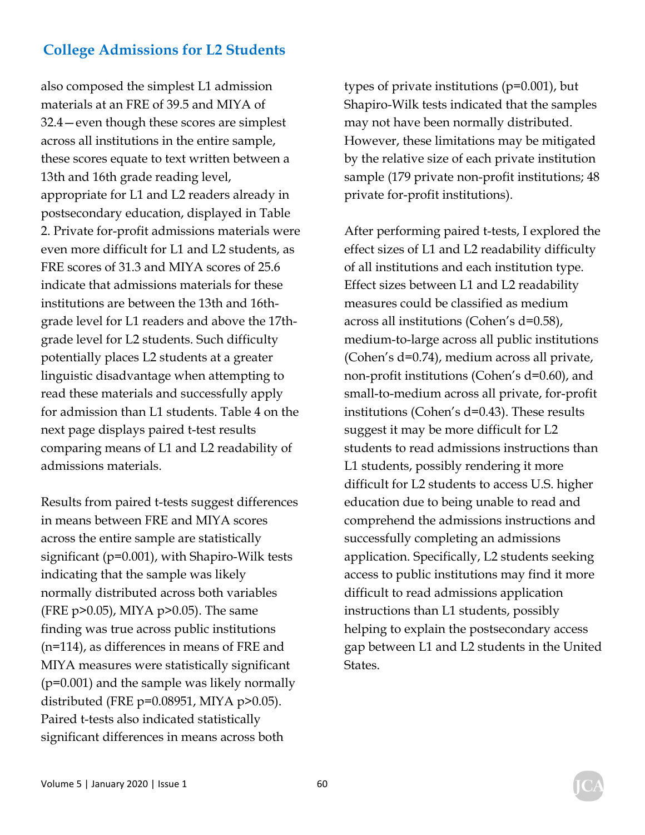also composed the simplest L1 admission materials at an FRE of 39.5 and MIYA of 32.4—even though these scores are simplest across all institutions in the entire sample, these scores equate to text written between a 13th and 16th grade reading level, appropriate for L1 and L2 readers already in postsecondary education, displayed in Table 2. Private for-profit admissions materials were even more difficult for L1 and L2 students, as FRE scores of 31.3 and MIYA scores of 25.6 indicate that admissions materials for these institutions are between the 13th and 16thgrade level for L1 readers and above the 17thgrade level for L2 students. Such difficulty potentially places L2 students at a greater linguistic disadvantage when attempting to read these materials and successfully apply for admission than L1 students. Table 4 on the next page displays paired t-test results comparing means of L1 and L2 readability of admissions materials.

Results from paired t-tests suggest differences in means between FRE and MIYA scores across the entire sample are statistically significant (p=0.001), with Shapiro-Wilk tests indicating that the sample was likely normally distributed across both variables (FRE p>0.05), MIYA p>0.05). The same finding was true across public institutions (n=114), as differences in means of FRE and MIYA measures were statistically significant (p=0.001) and the sample was likely normally distributed (FRE  $p=0.08951$ , MIYA  $p>0.05$ ). Paired t-tests also indicated statistically significant differences in means across both

types of private institutions (p=0.001), but Shapiro-Wilk tests indicated that the samples may not have been normally distributed. However, these limitations may be mitigated by the relative size of each private institution sample (179 private non-profit institutions; 48 private for-profit institutions).

After performing paired t-tests, I explored the effect sizes of L1 and L2 readability difficulty of all institutions and each institution type. Effect sizes between L1 and L2 readability measures could be classified as medium across all institutions (Cohen's d=0.58), medium-to-large across all public institutions (Cohen's d=0.74), medium across all private, non-profit institutions (Cohen's d=0.60), and small-to-medium across all private, for-profit institutions (Cohen's d=0.43). These results suggest it may be more difficult for L2 students to read admissions instructions than L1 students, possibly rendering it more difficult for L2 students to access U.S. higher education due to being unable to read and comprehend the admissions instructions and successfully completing an admissions application. Specifically, L2 students seeking access to public institutions may find it more difficult to read admissions application instructions than L1 students, possibly helping to explain the postsecondary access gap between L1 and L2 students in the United States.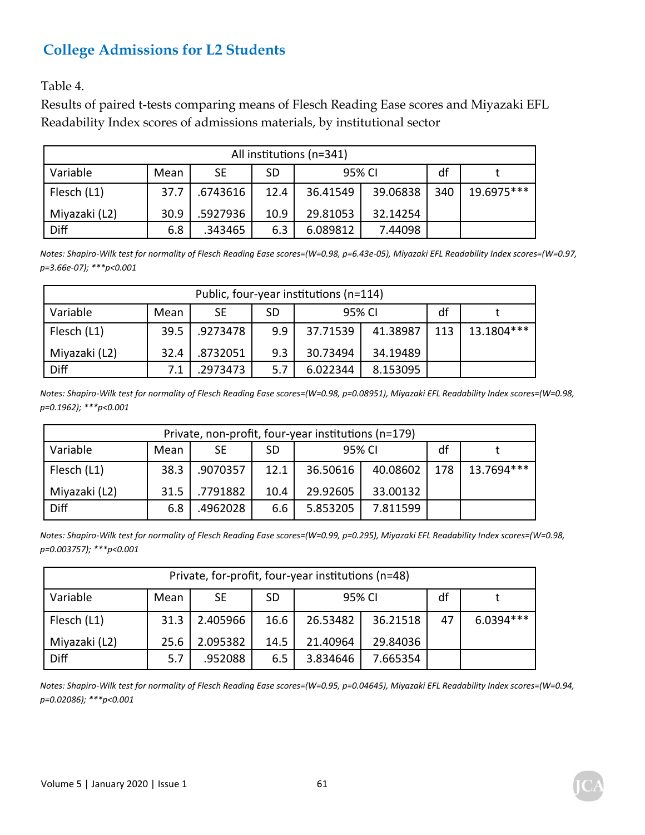Table 4.

Results of paired t-tests comparing means of Flesch Reading Ease scores and Miyazaki EFL Readability Index scores of admissions materials, by institutional sector

| All institutions (n=341)                      |      |          |      |          |          |     |            |  |
|-----------------------------------------------|------|----------|------|----------|----------|-----|------------|--|
| df<br>Variable<br>95% CI<br>SE.<br>SD<br>Mean |      |          |      |          |          |     |            |  |
| Flesch (L1)                                   | 37.7 | .6743616 | 12.4 | 36.41549 | 39.06838 | 340 | 19.6975*** |  |
| Miyazaki (L2)                                 | 30.9 | .5927936 | 10.9 | 29.81053 | 32.14254 |     |            |  |
| Diff                                          | 6.8  | .343465  | 6.3  | 6.089812 | 7.44098  |     |            |  |

*Notes: Shapiro‐Wilk test for normality of Flesch Reading Ease scores=(W=0.98, p=6.43e‐05), Miyazaki EFL Readability Index scores=(W=0.97, p=3.66e‐07); \*\*\*p<0.001* 

| Public, four-year institutions (n=114)       |      |          |     |          |          |     |            |  |
|----------------------------------------------|------|----------|-----|----------|----------|-----|------------|--|
| Variable<br>df<br>95% CI<br>SE<br>SD<br>Mean |      |          |     |          |          |     |            |  |
| Flesch (L1)                                  | 39.5 | .9273478 | 9.9 | 37.71539 | 41.38987 | 113 | 13.1804*** |  |
| Miyazaki (L2)                                | 32.4 | .8732051 | 9.3 | 30.73494 |          |     |            |  |
| Diff                                         |      | .2973473 | 5.7 | 6.022344 | 8.153095 |     |            |  |

*Notes: Shapiro‐Wilk test for normality of Flesch Reading Ease scores=(W=0.98, p=0.08951), Miyazaki EFL Readability Index scores=(W=0.98, p=0.1962); \*\*\*p<0.001* 

| Private, non-profit, four-year institutions (n=179) |      |           |           |          |                |    |            |
|-----------------------------------------------------|------|-----------|-----------|----------|----------------|----|------------|
| Variable                                            | Mean | <b>SE</b> | <b>SD</b> | 95% CI   |                | df |            |
| Flesch (L1)                                         | 38.3 | .9070357  | 12.1      | 36.50616 | 40.08602   178 |    | 13.7694*** |
| Miyazaki (L2)                                       | 31.5 | .7791882  | 10.4      | 29.92605 | 33.00132       |    |            |
| Diff                                                | 6.8  | .4962028  | 6.6       | 5.853205 | 7.811599       |    |            |

*Notes: Shapiro‐Wilk test for normality of Flesch Reading Ease scores=(W=0.99, p=0.295), Miyazaki EFL Readability Index scores=(W=0.98, p=0.003757); \*\*\*p<0.001*

| Private, for-profit, four-year institutions (n=48)                |      |          |      |          |          |    |             |
|-------------------------------------------------------------------|------|----------|------|----------|----------|----|-------------|
| df<br>Variable<br>95% CI<br><b>SD</b><br><b>SE</b><br>Mean        |      |          |      |          |          |    |             |
| Flesch (L1)                                                       | 31.3 | 2.405966 | 16.6 | 26.53482 | 36.21518 | 47 | $6.0394***$ |
| 2.095382<br>Miyazaki (L2)<br>21.40964<br>29.84036<br>14.5<br>25.6 |      |          |      |          |          |    |             |
| Diff                                                              | 5.7  | .952088  | 6.5  | 3.834646 | 7.665354 |    |             |

*Notes: Shapiro‐Wilk test for normality of Flesch Reading Ease scores=(W=0.95, p=0.04645), Miyazaki EFL Readability Index scores=(W=0.94, p=0.02086); \*\*\*p<0.001*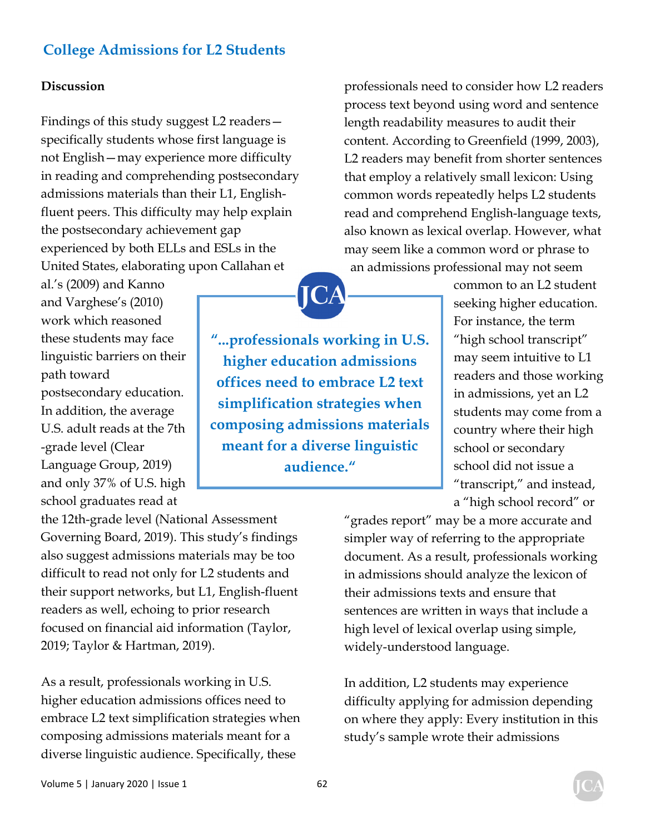#### **Discussion**

Findings of this study suggest L2 readers specifically students whose first language is not English—may experience more difficulty in reading and comprehending postsecondary admissions materials than their L1, Englishfluent peers. This difficulty may help explain the postsecondary achievement gap experienced by both ELLs and ESLs in the United States, elaborating upon Callahan et

al.'s (2009) and Kanno and Varghese's (2010) work which reasoned these students may face linguistic barriers on their path toward postsecondary education. In addition, the average U.S. adult reads at the 7th -grade level (Clear Language Group, 2019) and only 37% of U.S. high school graduates read at

the 12th-grade level (National Assessment Governing Board, 2019). This study's findings also suggest admissions materials may be too difficult to read not only for L2 students and their support networks, but L1, English-fluent readers as well, echoing to prior research focused on financial aid information (Taylor, 2019; Taylor & Hartman, 2019).

As a result, professionals working in U.S. higher education admissions offices need to embrace L2 text simplification strategies when composing admissions materials meant for a diverse linguistic audience. Specifically, these

professionals need to consider how L2 readers process text beyond using word and sentence length readability measures to audit their content. According to Greenfield (1999, 2003), L2 readers may benefit from shorter sentences that employ a relatively small lexicon: Using common words repeatedly helps L2 students read and comprehend English-language texts, also known as lexical overlap. However, what may seem like a common word or phrase to an admissions professional may not seem

> common to an L2 student seeking higher education. For instance, the term "high school transcript" may seem intuitive to L1 readers and those working in admissions, yet an L2 students may come from a country where their high school or secondary school did not issue a "transcript," and instead, a "high school record" or

"grades report" may be a more accurate and simpler way of referring to the appropriate document. As a result, professionals working in admissions should analyze the lexicon of their admissions texts and ensure that sentences are written in ways that include a high level of lexical overlap using simple, widely-understood language.

In addition, L2 students may experience difficulty applying for admission depending on where they apply: Every institution in this study's sample wrote their admissions

**"...professionals working in U.S. higher education admissions offices need to embrace L2 text simplification strategies when composing admissions materials meant for a diverse linguistic audience."** 

JCA

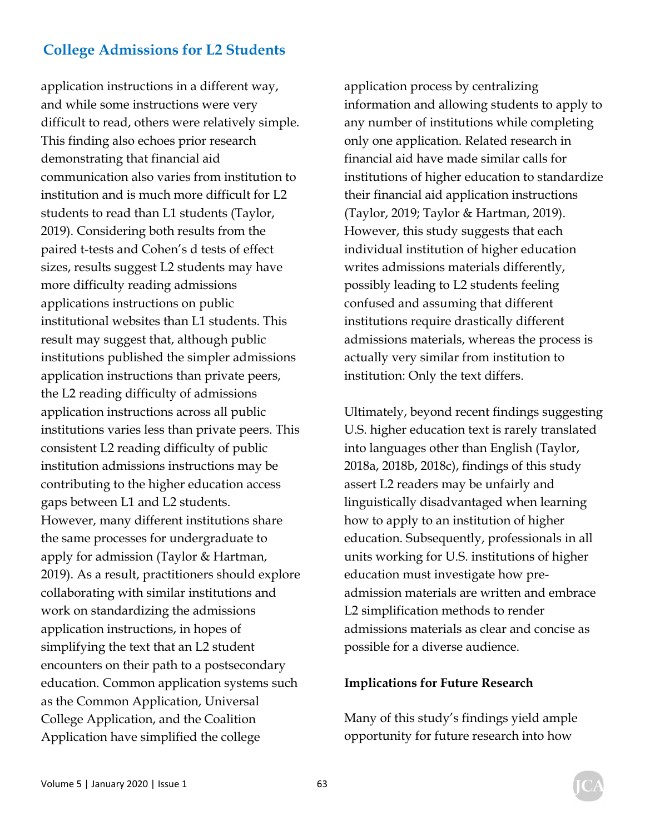application instructions in a different way, and while some instructions were very difficult to read, others were relatively simple. This finding also echoes prior research demonstrating that financial aid communication also varies from institution to institution and is much more difficult for L2 students to read than L1 students (Taylor, 2019). Considering both results from the paired t-tests and Cohen's d tests of effect sizes, results suggest L2 students may have more difficulty reading admissions applications instructions on public institutional websites than L1 students. This result may suggest that, although public institutions published the simpler admissions application instructions than private peers, the L2 reading difficulty of admissions application instructions across all public institutions varies less than private peers. This consistent L2 reading difficulty of public institution admissions instructions may be contributing to the higher education access gaps between L1 and L2 students. However, many different institutions share the same processes for undergraduate to apply for admission (Taylor & Hartman, 2019). As a result, practitioners should explore collaborating with similar institutions and work on standardizing the admissions application instructions, in hopes of simplifying the text that an L2 student encounters on their path to a postsecondary education. Common application systems such as the Common Application, Universal College Application, and the Coalition Application have simplified the college

application process by centralizing information and allowing students to apply to any number of institutions while completing only one application. Related research in financial aid have made similar calls for institutions of higher education to standardize their financial aid application instructions (Taylor, 2019; Taylor & Hartman, 2019). However, this study suggests that each individual institution of higher education writes admissions materials differently, possibly leading to L2 students feeling confused and assuming that different institutions require drastically different admissions materials, whereas the process is actually very similar from institution to institution: Only the text differs.

Ultimately, beyond recent findings suggesting U.S. higher education text is rarely translated into languages other than English (Taylor, 2018a, 2018b, 2018c), findings of this study assert L2 readers may be unfairly and linguistically disadvantaged when learning how to apply to an institution of higher education. Subsequently, professionals in all units working for U.S. institutions of higher education must investigate how preadmission materials are written and embrace L2 simplification methods to render admissions materials as clear and concise as possible for a diverse audience.

#### **Implications for Future Research**

Many of this study's findings yield ample opportunity for future research into how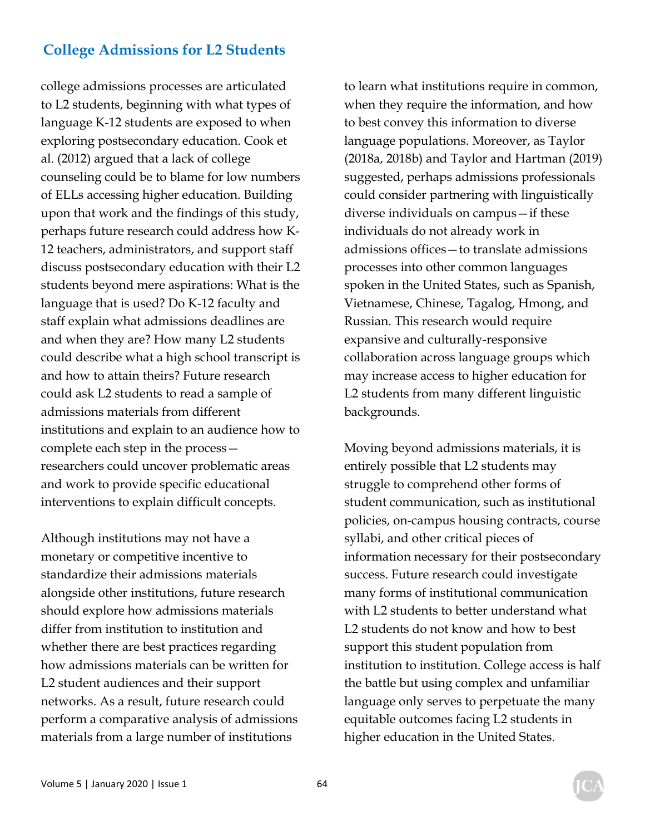college admissions processes are articulated to L2 students, beginning with what types of language K-12 students are exposed to when exploring postsecondary education. Cook et al. (2012) argued that a lack of college counseling could be to blame for low numbers of ELLs accessing higher education. Building upon that work and the findings of this study, perhaps future research could address how K-12 teachers, administrators, and support staff discuss postsecondary education with their L2 students beyond mere aspirations: What is the language that is used? Do K-12 faculty and staff explain what admissions deadlines are and when they are? How many L2 students could describe what a high school transcript is and how to attain theirs? Future research could ask L2 students to read a sample of admissions materials from different institutions and explain to an audience how to complete each step in the process researchers could uncover problematic areas and work to provide specific educational interventions to explain difficult concepts.

Although institutions may not have a monetary or competitive incentive to standardize their admissions materials alongside other institutions, future research should explore how admissions materials differ from institution to institution and whether there are best practices regarding how admissions materials can be written for L2 student audiences and their support networks. As a result, future research could perform a comparative analysis of admissions materials from a large number of institutions

to learn what institutions require in common, when they require the information, and how to best convey this information to diverse language populations. Moreover, as Taylor (2018a, 2018b) and Taylor and Hartman (2019) suggested, perhaps admissions professionals could consider partnering with linguistically diverse individuals on campus—if these individuals do not already work in admissions offices—to translate admissions processes into other common languages spoken in the United States, such as Spanish, Vietnamese, Chinese, Tagalog, Hmong, and Russian. This research would require expansive and culturally-responsive collaboration across language groups which may increase access to higher education for L2 students from many different linguistic backgrounds.

Moving beyond admissions materials, it is entirely possible that L2 students may struggle to comprehend other forms of student communication, such as institutional policies, on-campus housing contracts, course syllabi, and other critical pieces of information necessary for their postsecondary success. Future research could investigate many forms of institutional communication with L2 students to better understand what L2 students do not know and how to best support this student population from institution to institution. College access is half the battle but using complex and unfamiliar language only serves to perpetuate the many equitable outcomes facing L2 students in higher education in the United States.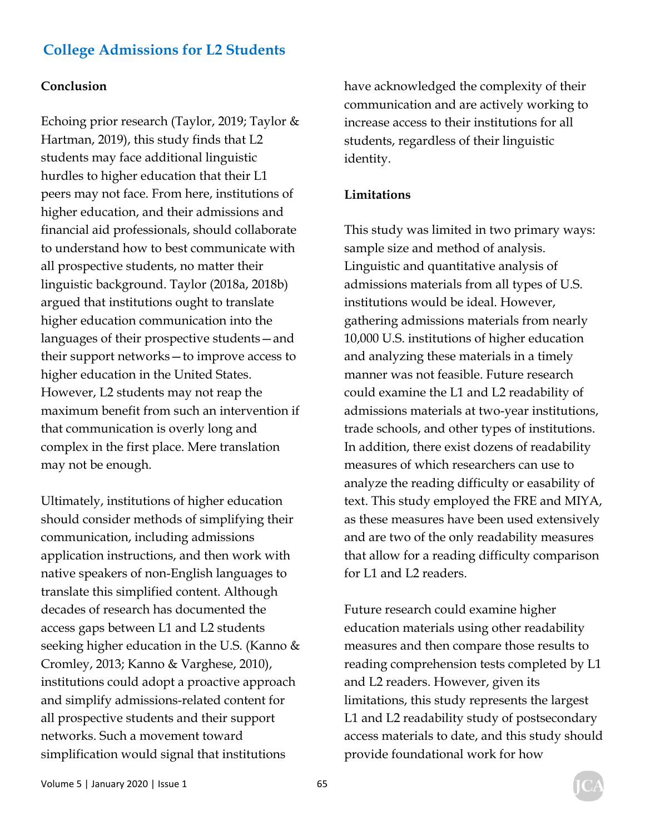#### **Conclusion**

Echoing prior research (Taylor, 2019; Taylor & Hartman, 2019), this study finds that L2 students may face additional linguistic hurdles to higher education that their L1 peers may not face. From here, institutions of higher education, and their admissions and financial aid professionals, should collaborate to understand how to best communicate with all prospective students, no matter their linguistic background. Taylor (2018a, 2018b) argued that institutions ought to translate higher education communication into the languages of their prospective students—and their support networks—to improve access to higher education in the United States. However, L2 students may not reap the maximum benefit from such an intervention if that communication is overly long and complex in the first place. Mere translation may not be enough.

Ultimately, institutions of higher education should consider methods of simplifying their communication, including admissions application instructions, and then work with native speakers of non-English languages to translate this simplified content. Although decades of research has documented the access gaps between L1 and L2 students seeking higher education in the U.S. (Kanno & Cromley, 2013; Kanno & Varghese, 2010), institutions could adopt a proactive approach and simplify admissions-related content for all prospective students and their support networks. Such a movement toward simplification would signal that institutions

have acknowledged the complexity of their communication and are actively working to increase access to their institutions for all students, regardless of their linguistic identity.

#### **Limitations**

This study was limited in two primary ways: sample size and method of analysis. Linguistic and quantitative analysis of admissions materials from all types of U.S. institutions would be ideal. However, gathering admissions materials from nearly 10,000 U.S. institutions of higher education and analyzing these materials in a timely manner was not feasible. Future research could examine the L1 and L2 readability of admissions materials at two-year institutions, trade schools, and other types of institutions. In addition, there exist dozens of readability measures of which researchers can use to analyze the reading difficulty or easability of text. This study employed the FRE and MIYA, as these measures have been used extensively and are two of the only readability measures that allow for a reading difficulty comparison for L1 and L2 readers.

Future research could examine higher education materials using other readability measures and then compare those results to reading comprehension tests completed by L1 and L2 readers. However, given its limitations, this study represents the largest L1 and L2 readability study of postsecondary access materials to date, and this study should provide foundational work for how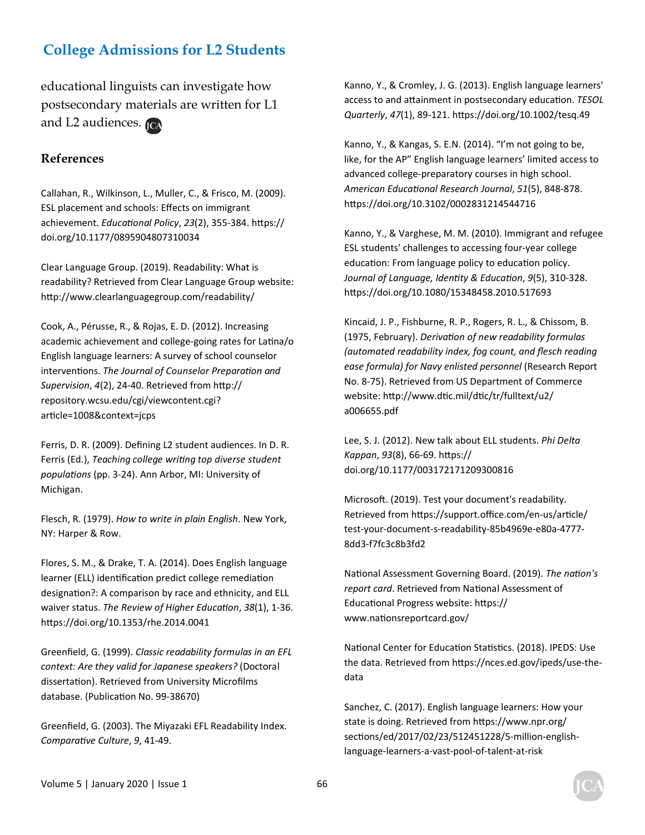educational linguists can investigate how postsecondary materials are written for L1 and L2 audiences.

#### **References**

Callahan, R., Wilkinson, L., Muller, C., & Frisco, M. (2009). ESL placement and schools: Effects on immigrant achievement. *EducaƟonal Policy*, *23*(2), 355‐384. hƩps:// doi.org/10.1177/0895904807310034

Clear Language Group. (2019). Readability: What is readability? Retrieved from Clear Language Group website: http://www.clearlanguagegroup.com/readability/

Cook, A., Pérusse, R., & Rojas, E. D. (2012). Increasing academic achievement and college-going rates for Latina/o English language learners: A survey of school counselor intervenƟons. *The Journal of Counselor PreparaƟon and Supervision*, *4*(2), 24‐40. Retrieved from hƩp:// repository.wcsu.edu/cgi/viewcontent.cgi? article=1008&context=jcps

Ferris, D. R. (2009). Defining L2 student audiences. In D. R. Ferris (Ed.), *Teaching college writing top diverse student populaƟons* (pp. 3‐24). Ann Arbor, MI: University of Michigan.

Flesch, R. (1979). *How to write in plain English*. New York, NY: Harper & Row.

Flores, S. M., & Drake, T. A. (2014). Does English language learner (ELL) identification predict college remediation designation?: A comparison by race and ethnicity, and ELL waiver status. The Review of Higher Education, 38(1), 1-36. https://doi.org/10.1353/rhe.2014.0041

Greenfield, G. (1999). *Classic readability formulas in an EFL context: Are they valid for Japanese speakers?* (Doctoral dissertation). Retrieved from University Microfilms database. (Publication No. 99-38670)

Greenfield, G. (2003). The Miyazaki EFL Readability Index. *ComparaƟve Culture*, *9*, 41‐49.

Kanno, Y., & Cromley, J. G. (2013). English language learners' access to and attainment in postsecondary education. **TESOL** *Quarterly*, *47*(1), 89‐121. hƩps://doi.org/10.1002/tesq.49

Kanno, Y., & Kangas, S. E.N. (2014). "I'm not going to be, like, for the AP" English language learners' limited access to advanced college‐preparatory courses in high school. *American EducaƟonal Research Journal*, *51*(5), 848‐878. https://doi.org/10.3102/0002831214544716

Kanno, Y., & Varghese, M. M. (2010). Immigrant and refugee ESL students' challenges to accessing four‐year college education: From language policy to education policy. *Journal of Language, IdenƟty & EducaƟon*, *9*(5), 310‐328. https://doi.org/10.1080/15348458.2010.517693

Kincaid, J. P., Fishburne, R. P., Rogers, R. L., & Chissom, B. (1975, February). *DerivaƟon of new readability formulas (automated readability index, fog count, and flesch reading ease formula) for Navy enlisted personnel* (Research Report No. 8‐75). Retrieved from US Department of Commerce website: http://www.dtic.mil/dtic/tr/fulltext/u2/ a006655.pdf

Lee, S. J. (2012). New talk about ELL students. *Phi Delta Kappan*, *93*(8), 66‐69. hƩps:// doi.org/10.1177/003172171209300816

Microsoft. (2019). Test your document's readability. Retrieved from https://support.office.com/en-us/article/ test‐your‐document‐s‐readability‐85b4969e‐e80a‐4777‐ 8dd3‐f7fc3c8b3fd2

National Assessment Governing Board. (2019). *The nation's* report card. Retrieved from National Assessment of Educational Progress website: https:// www.nationsreportcard.gov/

National Center for Education Statistics. (2018). IPEDS: Use the data. Retrieved from https://nces.ed.gov/ipeds/use-thedata

Sanchez, C. (2017). English language learners: How your state is doing. Retrieved from https://www.npr.org/ sections/ed/2017/02/23/512451228/5-million-englishlanguage‐learners‐a‐vast‐pool‐of‐talent‐at‐risk